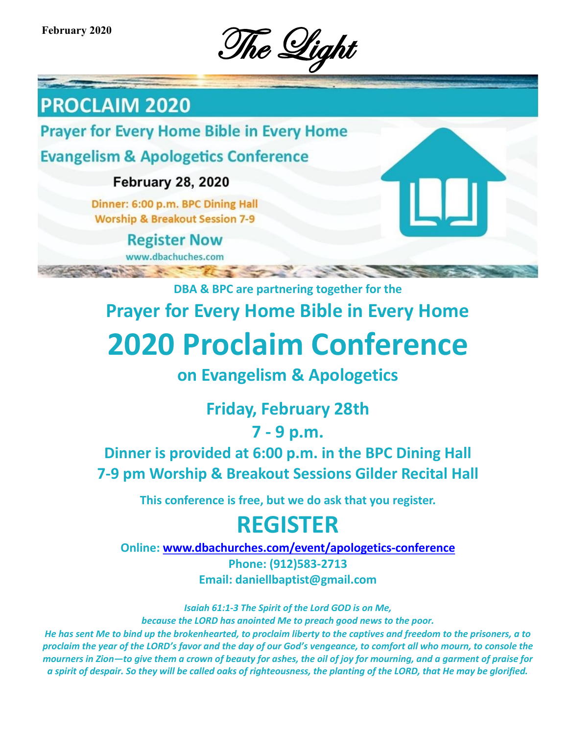February 2020<br>The Light

# **PROCLAIM 2020**

**Prayer for Every Home Bible in Every Home** 

**Evangelism & Apologetics Conference** 

**February 28, 2020** 

Dinner: 6:00 p.m. BPC Dining Hall **Worship & Breakout Session 7-9** 

> **Register Now** www.dbachuches.com

> > **Sept.**

**DBA & BPC are partnering together for the Prayer for Every Home Bible in Every Home**

# **2020 Proclaim Conference**

## **on Evangelism & Apologetics**

# **Friday, February 28th**

## **7 - 9 p.m.**

## **Dinner is provided at 6:00 p.m. in the BPC Dining Hall 7-9 pm Worship & Breakout Sessions Gilder Recital Hall**

**This conference is free, but we do ask that you register.**

# **REGISTER**

**Online: [www.dbachurches.com/event/apologetics](http://www.dbachurches.com/event/apologetics-conference/)-conference**

**Phone: (912)583-2713 Email: daniellbaptist@gmail.com**

*Isaiah 61:1-3 The Spirit of the Lord GOD is on Me, because the LORD has anointed Me to preach good news to the poor.*

*He has sent Me to bind up the brokenhearted, to proclaim liberty to the captives and freedom to the prisoners, a to proclaim the year of the LORD's favor and the day of our God's vengeance, to comfort all who mourn, to console the mourners in Zion—to give them a crown of beauty for ashes, the oil of joy for mourning, and a garment of praise for a spirit of despair. So they will be called oaks of righteousness, the planting of the LORD, that He may be glorified.*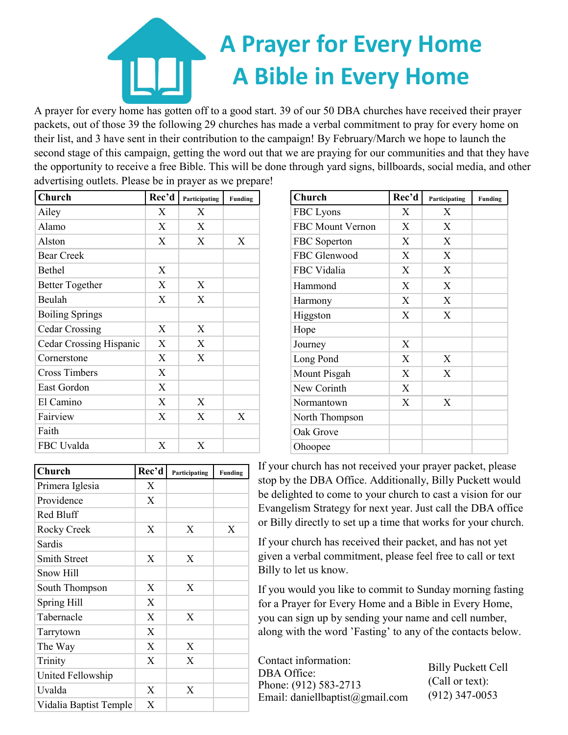# **A Prayer for Every Home A Bible in Every Home**

A prayer for every home has gotten off to a good start. 39 of our 50 DBA churches have received their prayer packets, out of those 39 the following 29 churches has made a verbal commitment to pray for every home on their list, and 3 have sent in their contribution to the campaign! By February/March we hope to launch the second stage of this campaign, getting the word out that we are praying for our communities and that they have the opportunity to receive a free Bible. This will be done through yard signs, billboards, social media, and other advertising outlets. Please be in prayer as we prepare!

| Church                  | Rec'd | Participating | Funding |
|-------------------------|-------|---------------|---------|
| Ailey                   | Χ     | X             |         |
| Alamo                   | X     | X             |         |
| Alston                  | X     | X             | X       |
| <b>Bear Creek</b>       |       |               |         |
| Bethel                  | X     |               |         |
| <b>Better Together</b>  | X     | X             |         |
| Beulah                  | X     | X             |         |
| <b>Boiling Springs</b>  |       |               |         |
| <b>Cedar Crossing</b>   | X     | X             |         |
| Cedar Crossing Hispanic | X     | X             |         |
| Cornerstone             | X     | X             |         |
| <b>Cross Timbers</b>    | X     |               |         |
| East Gordon             | X     |               |         |
| El Camino               | X     | X             |         |
| Fairview                | X     | X             | X       |
| Faith                   |       |               |         |
| FBC Uvalda              | X     | X             |         |

| Church                 | Rec'd | Participating | Funding |
|------------------------|-------|---------------|---------|
| Primera Iglesia        | X     |               |         |
| Providence             | X     |               |         |
| Red Bluff              |       |               |         |
| Rocky Creek            | X     | X             | X       |
| Sardis                 |       |               |         |
| <b>Smith Street</b>    | X     | X             |         |
| Snow Hill              |       |               |         |
| South Thompson         | X     | X             |         |
| Spring Hill            | X     |               |         |
| Tabernacle             | X     | X             |         |
| Tarrytown              | X     |               |         |
| The Way                | X     | X             |         |
| Trinity                | X     | X             |         |
| United Fellowship      |       |               |         |
| Uvalda                 | X     | X             |         |
| Vidalia Baptist Temple | X     |               |         |

| Church           | Rec'd | Participating | <b>Funding</b> |
|------------------|-------|---------------|----------------|
| FBC Lyons        | X     | X             |                |
| FBC Mount Vernon | X     | X             |                |
| FBC Soperton     | X     | X             |                |
| FBC Glenwood     | X     | X             |                |
| FBC Vidalia      | X     | X             |                |
| Hammond          | X     | X             |                |
| Harmony          | X     | X             |                |
| Higgston         | X     | X             |                |
| Hope             |       |               |                |
| Journey          | X     |               |                |
| Long Pond        | X     | X             |                |
| Mount Pisgah     | X     | X             |                |
| New Corinth      | X     |               |                |
| Normantown       | X     | X             |                |
| North Thompson   |       |               |                |
| Oak Grove        |       |               |                |
| Ohoopee          |       |               |                |

If your church has not received your prayer packet, please stop by the DBA Office. Additionally, Billy Puckett would be delighted to come to your church to cast a vision for our Evangelism Strategy for next year. Just call the DBA office or Billy directly to set up a time that works for your church.

If your church has received their packet, and has not yet given a verbal commitment, please feel free to call or text Billy to let us know.

If you would you like to commit to Sunday morning fasting for a Prayer for Every Home and a Bible in Every Home, you can sign up by sending your name and cell number, along with the word 'Fasting' to any of the contacts below.

Contact information: DBA Office: Phone: (912) 583-2713 Email: daniellbaptist@gmail.com

Billy Puckett Cell (Call or text): (912) 347-0053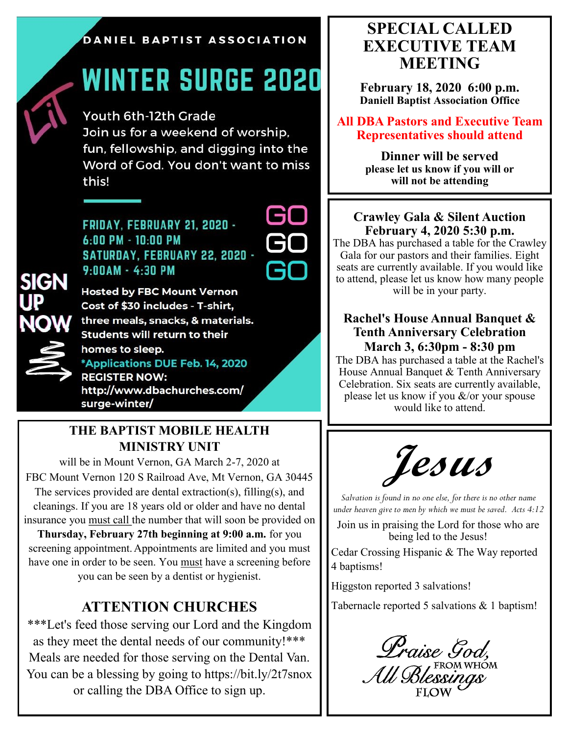#### DANIEL BAPTIST ASSOCIATION

# **WINTER SURGE 2020**

Youth 6th-12th Grade Join us for a weekend of worship, fun, fellowship, and digging into the Word of God. You don't want to miss this!

FRIDAY, FEBRUARY 21, 2020 - $6:00$  PM  $-$  10:00 PM SATURDAY, FEBRUARY 22, 2020 - $9:00AM - 4:30PM$ 



**Hosted by FBC Mount Vernon** Cost of \$30 includes - T-shirt, three meals, snacks, & materials. Students will return to their homes to sleep. \*Applications DUE Feb. 14, 2020 **REGISTER NOW:** http://www.dbachurches.com/

### **THE BAPTIST MOBILE HEALTH MINISTRY UNIT**

surge-winter/

will be in Mount Vernon, GA March 2-7, 2020 at FBC Mount Vernon 120 S Railroad Ave, Mt Vernon, GA 30445 The services provided are dental extraction(s), filling(s), and cleanings. If you are 18 years old or older and have no dental insurance you must call the number that will soon be provided on **Thursday, February 27th beginning at 9:00 a.m.** for you screening appointment.Appointments are limited and you must have one in order to be seen. You must have a screening before you can be seen by a dentist or hygienist.

### **ATTENTION CHURCHES**

\*\*\*Let's feed those serving our Lord and the Kingdom as they meet the dental needs of our community!\*\*\* Meals are needed for those serving on the Dental Van. You can be a blessing by going to https://bit.ly/2t7snox or calling the DBA Office to sign up.

### **SPECIAL CALLED EXECUTIVE TEAM MEETING**

**February 18, 2020 6:00 p.m. Daniell Baptist Association Office**

**All DBA Pastors and Executive Team Representatives should attend**

> **Dinner will be served please let us know if you will or will not be attending**

#### **Crawley Gala & Silent Auction February 4, 2020 5:30 p.m.**

The DBA has purchased a table for the Crawley Gala for our pastors and their families. Eight seats are currently available. If you would like to attend, please let us know how many people will be in your party.

#### **Rachel's House Annual Banquet & Tenth Anniversary Celebration March 3, 6:30pm - 8:30 pm**

The DBA has purchased a table at the Rachel's House Annual Banquet & Tenth Anniversary Celebration. Six seats are currently available, please let us know if you &/or your spouse would like to attend.



*Salvation is found in no one else, for there is no other name under heaven give to men by which we must be saved. Acts 4:12*

Join us in praising the Lord for those who are being led to the Jesus!

Cedar Crossing Hispanic & The Way reported 4 baptisms!

Higgston reported 3 salvations!

Tabernacle reported 5 salvations & 1 baptism!

Lraise 9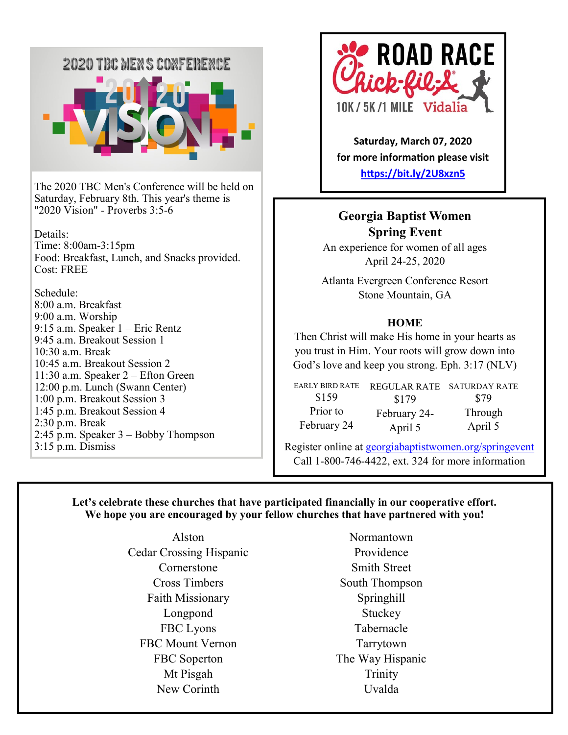

The 2020 TBC Men's Conference will be held on Saturday, February 8th. This year's theme is "2020 Vision" - Proverbs 3:5-6

Details: Time: 8:00am-3:15pm Food: Breakfast, Lunch, and Snacks provided. Cost: FREE

Schedule: 8:00 a.m. Breakfast 9:00 a.m. Worship 9:15 a.m. Speaker 1 – Eric Rentz 9:45 a.m. Breakout Session 1 10:30 a.m. Break 10:45 a.m. Breakout Session 2 11:30 a.m. Speaker 2 – Efton Green 12:00 p.m. Lunch (Swann Center) 1:00 p.m. Breakout Session 3 1:45 p.m. Breakout Session 4 2:30 p.m. Break 2:45 p.m. Speaker 3 – Bobby Thompson 3:15 p.m. Dismiss



**Saturday, March 07, 2020 for more information please visit <https://bit.ly/2U8xzn5>**

#### **Georgia Baptist Women Spring Event**

An experience for women of all ages April 24-25, 2020

Atlanta Evergreen Conference Resort Stone Mountain, GA

#### **HOME**

Then Christ will make His home in your hearts as you trust in Him. Your roots will grow down into God's love and keep you strong. Eph. 3:17 (NLV)

| <b>EARLY BIRD RATE</b> | REGULAR RATE | <b>SATURDAY RATE</b> |
|------------------------|--------------|----------------------|
| \$159                  | \$179        | \$79                 |
| Prior to               | February 24- | Through              |
| February 24            | April 5      | April 5              |

Register online at<georgiabaptistwomen.org/springevent> Call 1-800-746-4422, ext. 324 for more information

#### **Let's celebrate these churches that have participated financially in our cooperative effort. We hope you are encouraged by your fellow churches that have partnered with you!**

Alston Cedar Crossing Hispanic Cornerstone Cross Timbers Faith Missionary Longpond FBC Lyons FBC Mount Vernon FBC Soperton Mt Pisgah New Corinth

Normantown Providence Smith Street South Thompson Springhill **Stuckey** Tabernacle Tarrytown The Way Hispanic Trinity Uvalda